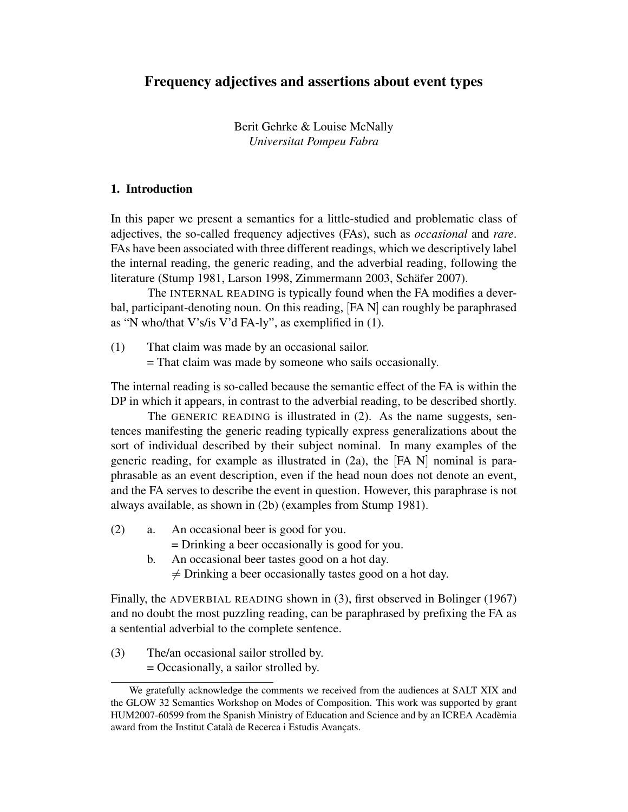Berit Gehrke & Louise McNally *Universitat Pompeu Fabra*

# 1. Introduction

In this paper we present a semantics for a little-studied and problematic class of adjectives, the so-called frequency adjectives (FAs), such as *occasional* and *rare*. FAs have been associated with three different readings, which we descriptively label the internal reading, the generic reading, and the adverbial reading, following the literature (Stump 1981, Larson 1998, Zimmermann 2003, Schäfer 2007).

The INTERNAL READING is typically found when the FA modifies a deverbal, participant-denoting noun. On this reading, [FA N] can roughly be paraphrased as "N who/that V's/is V'd FA-ly", as exemplified in (1).

(1) That claim was made by an occasional sailor.

= That claim was made by someone who sails occasionally.

The internal reading is so-called because the semantic effect of the FA is within the DP in which it appears, in contrast to the adverbial reading, to be described shortly.

The GENERIC READING is illustrated in (2). As the name suggests, sentences manifesting the generic reading typically express generalizations about the sort of individual described by their subject nominal. In many examples of the generic reading, for example as illustrated in (2a), the [FA N] nominal is paraphrasable as an event description, even if the head noun does not denote an event, and the FA serves to describe the event in question. However, this paraphrase is not always available, as shown in (2b) (examples from Stump 1981).

(2) a. An occasional beer is good for you.

= Drinking a beer occasionally is good for you.

b. An occasional beer tastes good on a hot day.  $\neq$  Drinking a beer occasionally tastes good on a hot day.

Finally, the ADVERBIAL READING shown in (3), first observed in Bolinger (1967) and no doubt the most puzzling reading, can be paraphrased by prefixing the FA as a sentential adverbial to the complete sentence.

(3) The/an occasional sailor strolled by.

= Occasionally, a sailor strolled by.

We gratefully acknowledge the comments we received from the audiences at SALT XIX and the GLOW 32 Semantics Workshop on Modes of Composition. This work was supported by grant HUM2007-60599 from the Spanish Ministry of Education and Science and by an ICREA Academia ` award from the Institut Català de Recerca i Estudis Avançats.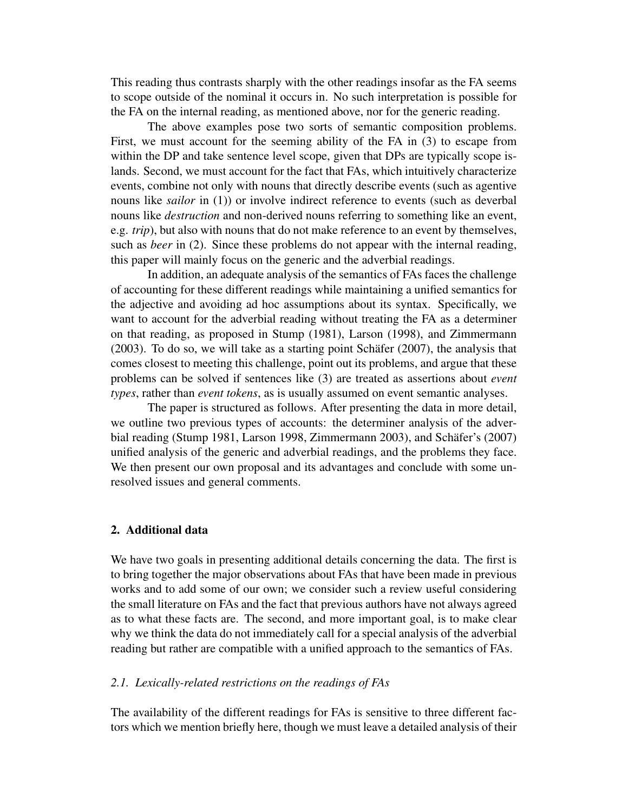This reading thus contrasts sharply with the other readings insofar as the FA seems to scope outside of the nominal it occurs in. No such interpretation is possible for the FA on the internal reading, as mentioned above, nor for the generic reading.

The above examples pose two sorts of semantic composition problems. First, we must account for the seeming ability of the FA in (3) to escape from within the DP and take sentence level scope, given that DPs are typically scope islands. Second, we must account for the fact that FAs, which intuitively characterize events, combine not only with nouns that directly describe events (such as agentive nouns like *sailor* in (1)) or involve indirect reference to events (such as deverbal nouns like *destruction* and non-derived nouns referring to something like an event, e.g. *trip*), but also with nouns that do not make reference to an event by themselves, such as *beer* in (2). Since these problems do not appear with the internal reading, this paper will mainly focus on the generic and the adverbial readings.

In addition, an adequate analysis of the semantics of FAs faces the challenge of accounting for these different readings while maintaining a unified semantics for the adjective and avoiding ad hoc assumptions about its syntax. Specifically, we want to account for the adverbial reading without treating the FA as a determiner on that reading, as proposed in Stump (1981), Larson (1998), and Zimmermann  $(2003)$ . To do so, we will take as a starting point Schäfer  $(2007)$ , the analysis that comes closest to meeting this challenge, point out its problems, and argue that these problems can be solved if sentences like (3) are treated as assertions about *event types*, rather than *event tokens*, as is usually assumed on event semantic analyses.

The paper is structured as follows. After presenting the data in more detail, we outline two previous types of accounts: the determiner analysis of the adverbial reading (Stump 1981, Larson 1998, Zimmermann 2003), and Schäfer's (2007) unified analysis of the generic and adverbial readings, and the problems they face. We then present our own proposal and its advantages and conclude with some unresolved issues and general comments.

## 2. Additional data

We have two goals in presenting additional details concerning the data. The first is to bring together the major observations about FAs that have been made in previous works and to add some of our own; we consider such a review useful considering the small literature on FAs and the fact that previous authors have not always agreed as to what these facts are. The second, and more important goal, is to make clear why we think the data do not immediately call for a special analysis of the adverbial reading but rather are compatible with a unified approach to the semantics of FAs.

### *2.1. Lexically-related restrictions on the readings of FAs*

The availability of the different readings for FAs is sensitive to three different factors which we mention briefly here, though we must leave a detailed analysis of their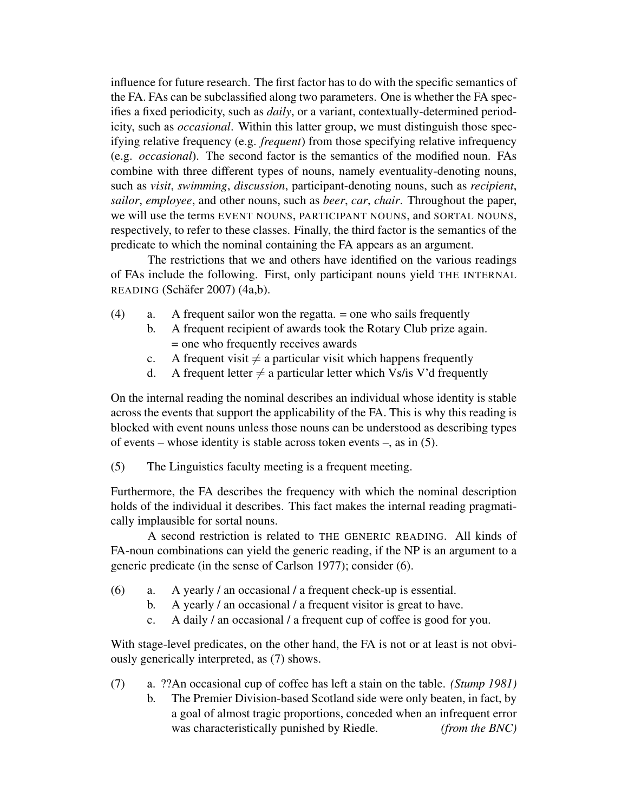influence for future research. The first factor has to do with the specific semantics of the FA. FAs can be subclassified along two parameters. One is whether the FA specifies a fixed periodicity, such as *daily*, or a variant, contextually-determined periodicity, such as *occasional*. Within this latter group, we must distinguish those specifying relative frequency (e.g. *frequent*) from those specifying relative infrequency (e.g. *occasional*). The second factor is the semantics of the modified noun. FAs combine with three different types of nouns, namely eventuality-denoting nouns, such as *visit*, *swimming*, *discussion*, participant-denoting nouns, such as *recipient*, *sailor*, *employee*, and other nouns, such as *beer*, *car*, *chair*. Throughout the paper, we will use the terms EVENT NOUNS, PARTICIPANT NOUNS, and SORTAL NOUNS, respectively, to refer to these classes. Finally, the third factor is the semantics of the predicate to which the nominal containing the FA appears as an argument.

The restrictions that we and others have identified on the various readings of FAs include the following. First, only participant nouns yield THE INTERNAL READING (Schäfer 2007) (4a,b).

- (4) a. A frequent sailor won the regatta. = one who sails frequently
	- b. A frequent recipient of awards took the Rotary Club prize again. = one who frequently receives awards
	- c. A frequent visit  $\neq$  a particular visit which happens frequently
	- d. A frequent letter  $\neq$  a particular letter which Vs/is V'd frequently

On the internal reading the nominal describes an individual whose identity is stable across the events that support the applicability of the FA. This is why this reading is blocked with event nouns unless those nouns can be understood as describing types of events – whose identity is stable across token events –, as in (5).

(5) The Linguistics faculty meeting is a frequent meeting.

Furthermore, the FA describes the frequency with which the nominal description holds of the individual it describes. This fact makes the internal reading pragmatically implausible for sortal nouns.

A second restriction is related to THE GENERIC READING. All kinds of FA-noun combinations can yield the generic reading, if the NP is an argument to a generic predicate (in the sense of Carlson 1977); consider (6).

- (6) a. A yearly / an occasional / a frequent check-up is essential.
	- b. A yearly / an occasional / a frequent visitor is great to have.
	- c. A daily / an occasional / a frequent cup of coffee is good for you.

With stage-level predicates, on the other hand, the FA is not or at least is not obviously generically interpreted, as (7) shows.

- (7) a. ??An occasional cup of coffee has left a stain on the table. *(Stump 1981)*
	- b. The Premier Division-based Scotland side were only beaten, in fact, by a goal of almost tragic proportions, conceded when an infrequent error was characteristically punished by Riedle. *(from the BNC)*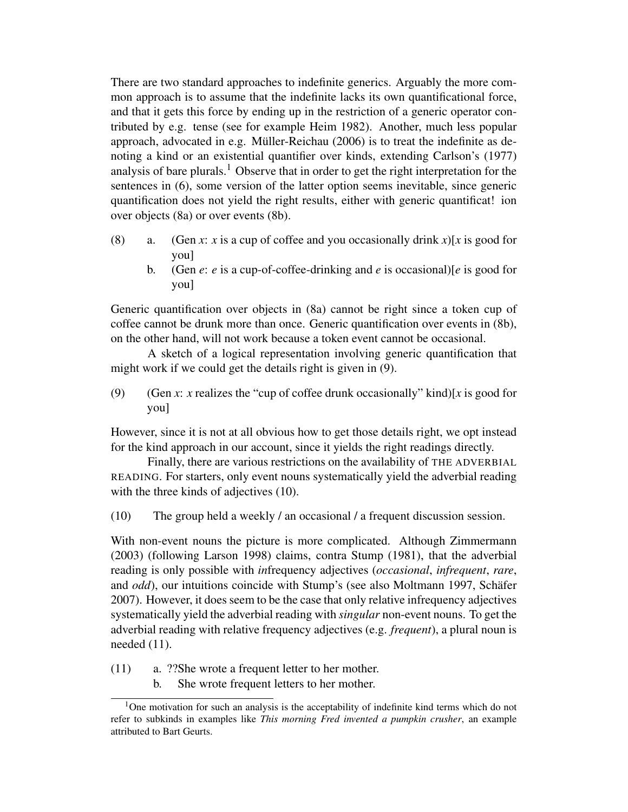There are two standard approaches to indefinite generics. Arguably the more common approach is to assume that the indefinite lacks its own quantificational force, and that it gets this force by ending up in the restriction of a generic operator contributed by e.g. tense (see for example Heim 1982). Another, much less popular approach, advocated in e.g. Müller-Reichau  $(2006)$  is to treat the indefinite as denoting a kind or an existential quantifier over kinds, extending Carlson's (1977) analysis of bare plurals.<sup>1</sup> Observe that in order to get the right interpretation for the sentences in (6), some version of the latter option seems inevitable, since generic quantification does not yield the right results, either with generic quantificat! ion over objects (8a) or over events (8b).

- (8) a. (Gen *x*: *x* is a cup of coffee and you occasionally drink *x*)[*x* is good for you]
	- b. (Gen  $e$ :  $e$  is a cup-of-coffee-drinking and  $e$  is occasional)[ $e$  is good for you]

Generic quantification over objects in (8a) cannot be right since a token cup of coffee cannot be drunk more than once. Generic quantification over events in (8b), on the other hand, will not work because a token event cannot be occasional.

A sketch of a logical representation involving generic quantification that might work if we could get the details right is given in (9).

(9) (Gen *x*: *x* realizes the "cup of coffee drunk occasionally" kind)[*x* is good for you]

However, since it is not at all obvious how to get those details right, we opt instead for the kind approach in our account, since it yields the right readings directly.

Finally, there are various restrictions on the availability of THE ADVERBIAL READING. For starters, only event nouns systematically yield the adverbial reading with the three kinds of adjectives (10).

(10) The group held a weekly / an occasional / a frequent discussion session.

With non-event nouns the picture is more complicated. Although Zimmermann (2003) (following Larson 1998) claims, contra Stump (1981), that the adverbial reading is only possible with *in*frequency adjectives (*occasional*, *infrequent*, *rare*, and *odd*), our intuitions coincide with Stump's (see also Moltmann 1997, Schäfer 2007). However, it does seem to be the case that only relative infrequency adjectives systematically yield the adverbial reading with *singular* non-event nouns. To get the adverbial reading with relative frequency adjectives (e.g. *frequent*), a plural noun is needed  $(11)$ .

- (11) a. ??She wrote a frequent letter to her mother.
	- b. She wrote frequent letters to her mother.

<sup>&</sup>lt;sup>1</sup>One motivation for such an analysis is the acceptability of indefinite kind terms which do not refer to subkinds in examples like *This morning Fred invented a pumpkin crusher*, an example attributed to Bart Geurts.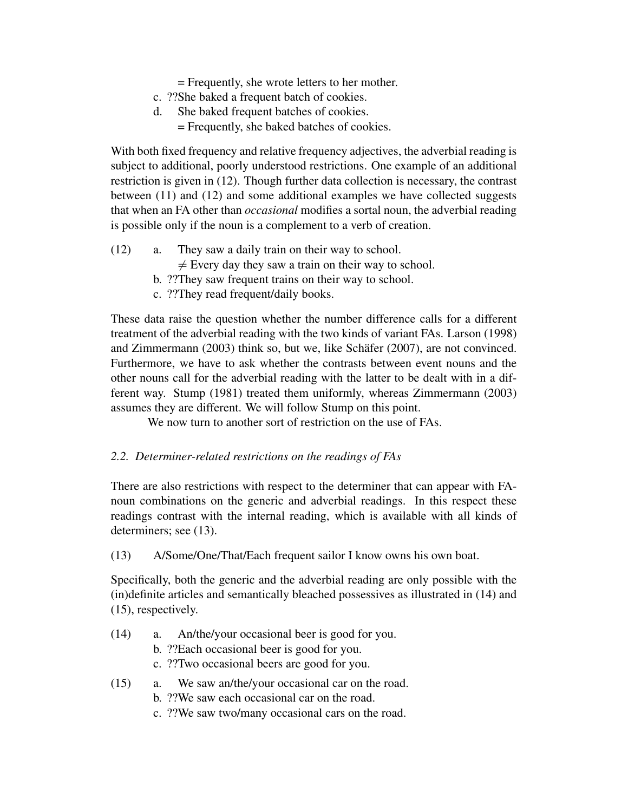= Frequently, she wrote letters to her mother.

- c. ??She baked a frequent batch of cookies.
- d. She baked frequent batches of cookies.
	- = Frequently, she baked batches of cookies.

With both fixed frequency and relative frequency adjectives, the adverbial reading is subject to additional, poorly understood restrictions. One example of an additional restriction is given in (12). Though further data collection is necessary, the contrast between (11) and (12) and some additional examples we have collected suggests that when an FA other than *occasional* modifies a sortal noun, the adverbial reading is possible only if the noun is a complement to a verb of creation.

- (12) a. They saw a daily train on their way to school.
	- $\neq$  Every day they saw a train on their way to school.
	- b. ??They saw frequent trains on their way to school.
	- c. ??They read frequent/daily books.

These data raise the question whether the number difference calls for a different treatment of the adverbial reading with the two kinds of variant FAs. Larson (1998) and Zimmermann  $(2003)$  think so, but we, like Schäfer  $(2007)$ , are not convinced. Furthermore, we have to ask whether the contrasts between event nouns and the other nouns call for the adverbial reading with the latter to be dealt with in a different way. Stump (1981) treated them uniformly, whereas Zimmermann (2003) assumes they are different. We will follow Stump on this point.

We now turn to another sort of restriction on the use of FAs.

## *2.2. Determiner-related restrictions on the readings of FAs*

There are also restrictions with respect to the determiner that can appear with FAnoun combinations on the generic and adverbial readings. In this respect these readings contrast with the internal reading, which is available with all kinds of determiners; see (13).

(13) A/Some/One/That/Each frequent sailor I know owns his own boat.

Specifically, both the generic and the adverbial reading are only possible with the (in)definite articles and semantically bleached possessives as illustrated in (14) and (15), respectively.

- (14) a. An/the/your occasional beer is good for you.
	- b. ??Each occasional beer is good for you.
	- c. ??Two occasional beers are good for you.
- (15) a. We saw an/the/your occasional car on the road.
	- b. ??We saw each occasional car on the road.
	- c. ??We saw two/many occasional cars on the road.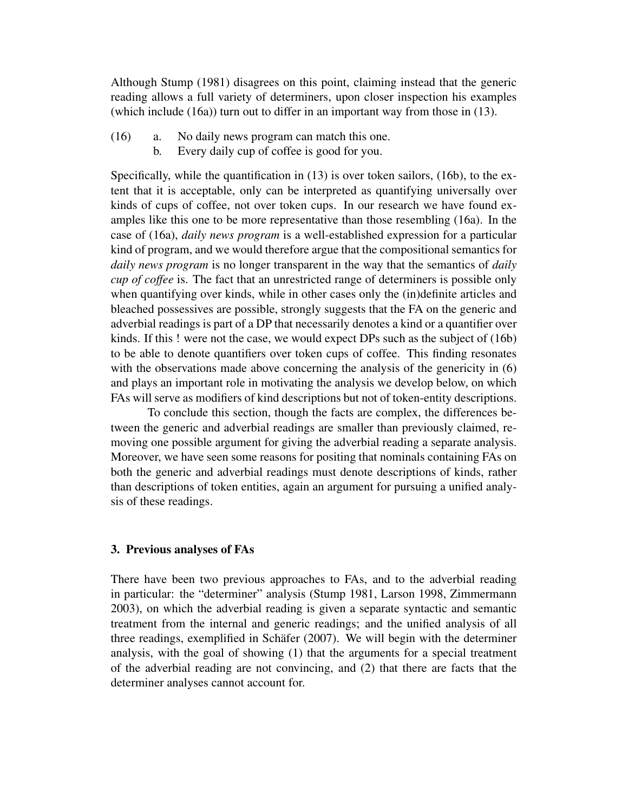Although Stump (1981) disagrees on this point, claiming instead that the generic reading allows a full variety of determiners, upon closer inspection his examples (which include (16a)) turn out to differ in an important way from those in (13).

- (16) a. No daily news program can match this one.
	- b. Every daily cup of coffee is good for you.

Specifically, while the quantification in (13) is over token sailors, (16b), to the extent that it is acceptable, only can be interpreted as quantifying universally over kinds of cups of coffee, not over token cups. In our research we have found examples like this one to be more representative than those resembling (16a). In the case of (16a), *daily news program* is a well-established expression for a particular kind of program, and we would therefore argue that the compositional semantics for *daily news program* is no longer transparent in the way that the semantics of *daily cup of coffee* is. The fact that an unrestricted range of determiners is possible only when quantifying over kinds, while in other cases only the (in)definite articles and bleached possessives are possible, strongly suggests that the FA on the generic and adverbial readings is part of a DP that necessarily denotes a kind or a quantifier over kinds. If this ! were not the case, we would expect DPs such as the subject of (16b) to be able to denote quantifiers over token cups of coffee. This finding resonates with the observations made above concerning the analysis of the genericity in  $(6)$ and plays an important role in motivating the analysis we develop below, on which FAs will serve as modifiers of kind descriptions but not of token-entity descriptions.

To conclude this section, though the facts are complex, the differences between the generic and adverbial readings are smaller than previously claimed, removing one possible argument for giving the adverbial reading a separate analysis. Moreover, we have seen some reasons for positing that nominals containing FAs on both the generic and adverbial readings must denote descriptions of kinds, rather than descriptions of token entities, again an argument for pursuing a unified analysis of these readings.

### 3. Previous analyses of FAs

There have been two previous approaches to FAs, and to the adverbial reading in particular: the "determiner" analysis (Stump 1981, Larson 1998, Zimmermann 2003), on which the adverbial reading is given a separate syntactic and semantic treatment from the internal and generic readings; and the unified analysis of all three readings, exemplified in Schäfer  $(2007)$ . We will begin with the determiner analysis, with the goal of showing (1) that the arguments for a special treatment of the adverbial reading are not convincing, and (2) that there are facts that the determiner analyses cannot account for.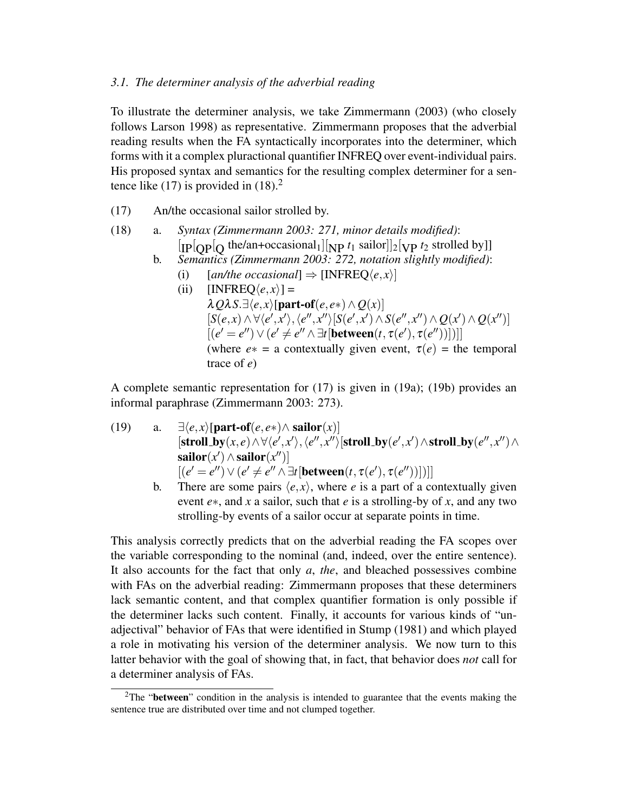### *3.1. The determiner analysis of the adverbial reading*

To illustrate the determiner analysis, we take Zimmermann (2003) (who closely follows Larson 1998) as representative. Zimmermann proposes that the adverbial reading results when the FA syntactically incorporates into the determiner, which forms with it a complex pluractional quantifier INFREQ over event-individual pairs. His proposed syntax and semantics for the resulting complex determiner for a sentence like (17) is provided in  $(18)<sup>2</sup>$ 

- (17) An/the occasional sailor strolled by.
- (18) a. *Syntax (Zimmermann 2003: 271, minor details modified)*:  $\left[ \text{IP}[\text{QP}[Q \text{ the}/\text{an}+\text{occasional}_1] \right] \left[ \text{NP } t_1 \text{ sailor} \right] \left[ 2 \left[ \text{VP } t_2 \text{ strolled by} \right] \right]$ 
	- b. *Semantics (Zimmermann 2003: 272, notation slightly modified)*:
		- (i)  $[an/the \text{ occasional}] \Rightarrow [INFRED\langle e, x \rangle]$
		- (ii)  $[INFREQ\langle e, x \rangle] =$  $\lambda Q\lambda S.\exists \langle e, x \rangle$ [part-of(*e*, *e*∗)∧*Q*(*x*)]  $[S(e,x) \wedge \forall \langle e', x' \rangle, \langle e'', x'' \rangle [S(e',x') \wedge S(e'', x'') \wedge Q(x') \wedge Q(x'')]$  $[(e' = e'') \vee (e' \neq e'' \wedge \exists t [between(t, \tau(e'), \tau(e''))])]]$ (where  $e* = a$  contextually given event,  $\tau(e) =$  the temporal trace of *e*)

A complete semantic representation for (17) is given in (19a); (19b) provides an informal paraphrase (Zimmermann 2003: 273).

- (19) a.  $\exists \langle e, x \rangle$ [part-of( $e, e \ast$ ) $\land$  sailor(*x*)]  $[\textbf{stroll\_by}(x, e) \wedge \forall \langle e', x' \rangle, \langle e'', x'' \rangle [\textbf{stroll\_by}(e', x') \wedge \textbf{stroll\_by}(e'', x'') \wedge$  $\mathbf{sallor}(x') \wedge \mathbf{sallor}(x'')$ ]  $[(e' = e'') \vee (e' \neq e'' \wedge \exists t [\text{between}(t, \tau(e'), \tau(e''))])]]$ 
	- b. There are some pairs  $\langle e, x \rangle$ , where *e* is a part of a contextually given event *e*∗, and *x* a sailor, such that *e* is a strolling-by of *x*, and any two strolling-by events of a sailor occur at separate points in time.

This analysis correctly predicts that on the adverbial reading the FA scopes over the variable corresponding to the nominal (and, indeed, over the entire sentence). It also accounts for the fact that only *a*, *the*, and bleached possessives combine with FAs on the adverbial reading: Zimmermann proposes that these determiners lack semantic content, and that complex quantifier formation is only possible if the determiner lacks such content. Finally, it accounts for various kinds of "unadjectival" behavior of FAs that were identified in Stump (1981) and which played a role in motivating his version of the determiner analysis. We now turn to this latter behavior with the goal of showing that, in fact, that behavior does *not* call for a determiner analysis of FAs.

<sup>&</sup>lt;sup>2</sup>The "**between**" condition in the analysis is intended to guarantee that the events making the sentence true are distributed over time and not clumped together.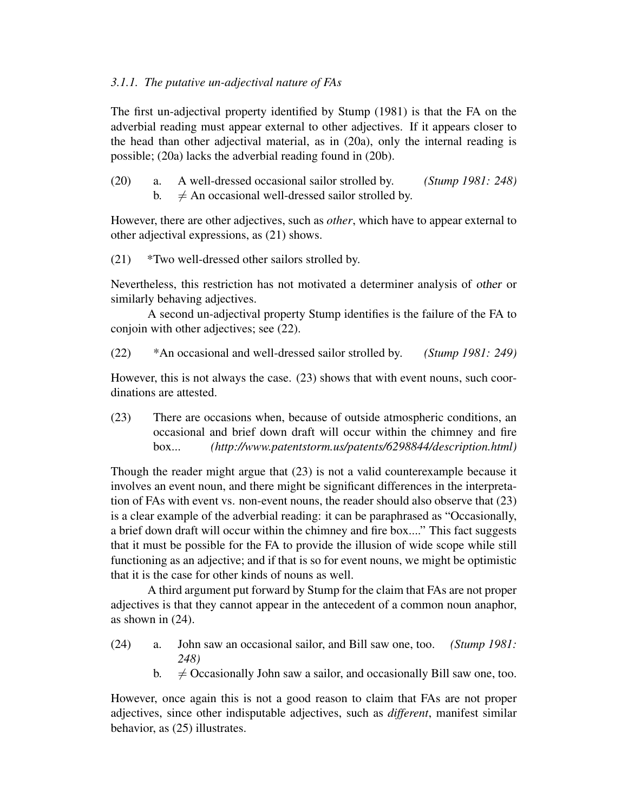# *3.1.1. The putative un-adjectival nature of FAs*

The first un-adjectival property identified by Stump (1981) is that the FA on the adverbial reading must appear external to other adjectives. If it appears closer to the head than other adjectival material, as in (20a), only the internal reading is possible; (20a) lacks the adverbial reading found in (20b).

(20) a. A well-dressed occasional sailor strolled by. *(Stump 1981: 248)* b.  $\neq$  An occasional well-dressed sailor strolled by.

However, there are other adjectives, such as *other*, which have to appear external to other adjectival expressions, as (21) shows.

(21) \*Two well-dressed other sailors strolled by.

Nevertheless, this restriction has not motivated a determiner analysis of other or similarly behaving adjectives.

A second un-adjectival property Stump identifies is the failure of the FA to conjoin with other adjectives; see (22).

(22) \*An occasional and well-dressed sailor strolled by. *(Stump 1981: 249)*

However, this is not always the case. (23) shows that with event nouns, such coordinations are attested.

(23) There are occasions when, because of outside atmospheric conditions, an occasional and brief down draft will occur within the chimney and fire box... *(http://www.patentstorm.us/patents/6298844/description.html)*

Though the reader might argue that (23) is not a valid counterexample because it involves an event noun, and there might be significant differences in the interpretation of FAs with event vs. non-event nouns, the reader should also observe that (23) is a clear example of the adverbial reading: it can be paraphrased as "Occasionally, a brief down draft will occur within the chimney and fire box...." This fact suggests that it must be possible for the FA to provide the illusion of wide scope while still functioning as an adjective; and if that is so for event nouns, we might be optimistic that it is the case for other kinds of nouns as well.

A third argument put forward by Stump for the claim that FAs are not proper adjectives is that they cannot appear in the antecedent of a common noun anaphor, as shown in (24).

- (24) a. John saw an occasional sailor, and Bill saw one, too. *(Stump 1981: 248)*
	- b.  $\neq$  Occasionally John saw a sailor, and occasionally Bill saw one, too.

However, once again this is not a good reason to claim that FAs are not proper adjectives, since other indisputable adjectives, such as *different*, manifest similar behavior, as (25) illustrates.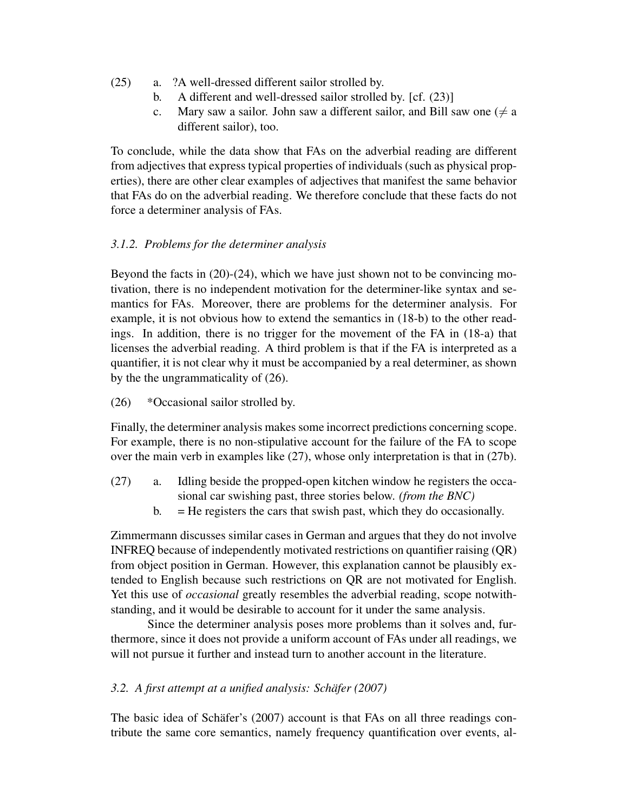- (25) a. ?A well-dressed different sailor strolled by.
	- b. A different and well-dressed sailor strolled by. [cf. (23)]
	- c. Mary saw a sailor. John saw a different sailor, and Bill saw one ( $\neq$  a different sailor), too.

To conclude, while the data show that FAs on the adverbial reading are different from adjectives that express typical properties of individuals (such as physical properties), there are other clear examples of adjectives that manifest the same behavior that FAs do on the adverbial reading. We therefore conclude that these facts do not force a determiner analysis of FAs.

# *3.1.2. Problems for the determiner analysis*

Beyond the facts in (20)-(24), which we have just shown not to be convincing motivation, there is no independent motivation for the determiner-like syntax and semantics for FAs. Moreover, there are problems for the determiner analysis. For example, it is not obvious how to extend the semantics in (18-b) to the other readings. In addition, there is no trigger for the movement of the FA in (18-a) that licenses the adverbial reading. A third problem is that if the FA is interpreted as a quantifier, it is not clear why it must be accompanied by a real determiner, as shown by the the ungrammaticality of (26).

(26) \*Occasional sailor strolled by.

Finally, the determiner analysis makes some incorrect predictions concerning scope. For example, there is no non-stipulative account for the failure of the FA to scope over the main verb in examples like (27), whose only interpretation is that in (27b).

- (27) a. Idling beside the propped-open kitchen window he registers the occasional car swishing past, three stories below. *(from the BNC)*
	- $b. = He$  registers the cars that swish past, which they do occasionally.

Zimmermann discusses similar cases in German and argues that they do not involve INFREQ because of independently motivated restrictions on quantifier raising (QR) from object position in German. However, this explanation cannot be plausibly extended to English because such restrictions on QR are not motivated for English. Yet this use of *occasional* greatly resembles the adverbial reading, scope notwithstanding, and it would be desirable to account for it under the same analysis.

Since the determiner analysis poses more problems than it solves and, furthermore, since it does not provide a uniform account of FAs under all readings, we will not pursue it further and instead turn to another account in the literature.

# *3.2. A first attempt at a unified analysis: Schafer (2007) ¨*

The basic idea of Schäfer's (2007) account is that FAs on all three readings contribute the same core semantics, namely frequency quantification over events, al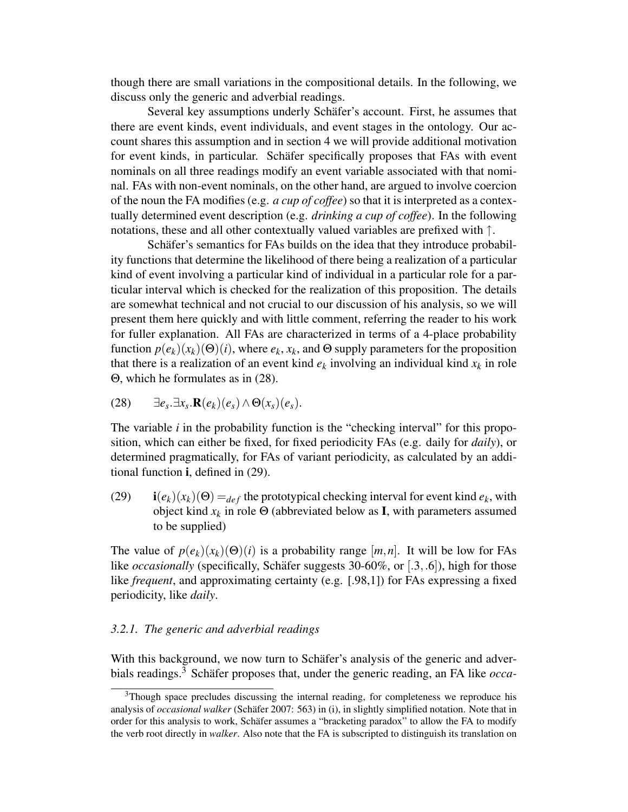though there are small variations in the compositional details. In the following, we discuss only the generic and adverbial readings.

Several key assumptions underly Schäfer's account. First, he assumes that there are event kinds, event individuals, and event stages in the ontology. Our account shares this assumption and in section 4 we will provide additional motivation for event kinds, in particular. Schäfer specifically proposes that FAs with event nominals on all three readings modify an event variable associated with that nominal. FAs with non-event nominals, on the other hand, are argued to involve coercion of the noun the FA modifies (e.g. *a cup of coffee*) so that it is interpreted as a contextually determined event description (e.g. *drinking a cup of coffee*). In the following notations, these and all other contextually valued variables are prefixed with ↑.

Schäfer's semantics for FAs builds on the idea that they introduce probability functions that determine the likelihood of there being a realization of a particular kind of event involving a particular kind of individual in a particular role for a particular interval which is checked for the realization of this proposition. The details are somewhat technical and not crucial to our discussion of his analysis, so we will present them here quickly and with little comment, referring the reader to his work for fuller explanation. All FAs are characterized in terms of a 4-place probability function  $p(e_k)(x_k)(\Theta)(i)$ , where  $e_k, x_k$ , and  $\Theta$  supply parameters for the proposition that there is a realization of an event kind  $e_k$  involving an individual kind  $x_k$  in role Θ, which he formulates as in (28).

$$
(28) \qquad \exists e_s. \exists x_s. \mathbf{R}(e_k)(e_s) \wedge \Theta(x_s)(e_s).
$$

The variable *i* in the probability function is the "checking interval" for this proposition, which can either be fixed, for fixed periodicity FAs (e.g. daily for *daily*), or determined pragmatically, for FAs of variant periodicity, as calculated by an additional function i, defined in (29).

(29) i $(e_k)(x_k)(\Theta) =_{def}$  the prototypical checking interval for event kind  $e_k$ , with object kind  $x_k$  in role  $\Theta$  (abbreviated below as **I**, with parameters assumed to be supplied)

The value of  $p(e_k)(x_k)(\Theta)(i)$  is a probability range  $[m,n]$ . It will be low for FAs like *occasionally* (specifically, Schäfer suggests 30-60%, or [.3, .6]), high for those like *frequent*, and approximating certainty (e.g. [.98,1]) for FAs expressing a fixed periodicity, like *daily*.

### *3.2.1. The generic and adverbial readings*

With this background, we now turn to Schäfer's analysis of the generic and adverbials readings.<sup>3</sup> Schäfer proposes that, under the generic reading, an FA like  $occa$ -

<sup>3</sup>Though space precludes discussing the internal reading, for completeness we reproduce his analysis of *occasional walker* (Schäfer 2007: 563) in (i), in slightly simplified notation. Note that in order for this analysis to work, Schäfer assumes a "bracketing paradox" to allow the FA to modify the verb root directly in *walker*. Also note that the FA is subscripted to distinguish its translation on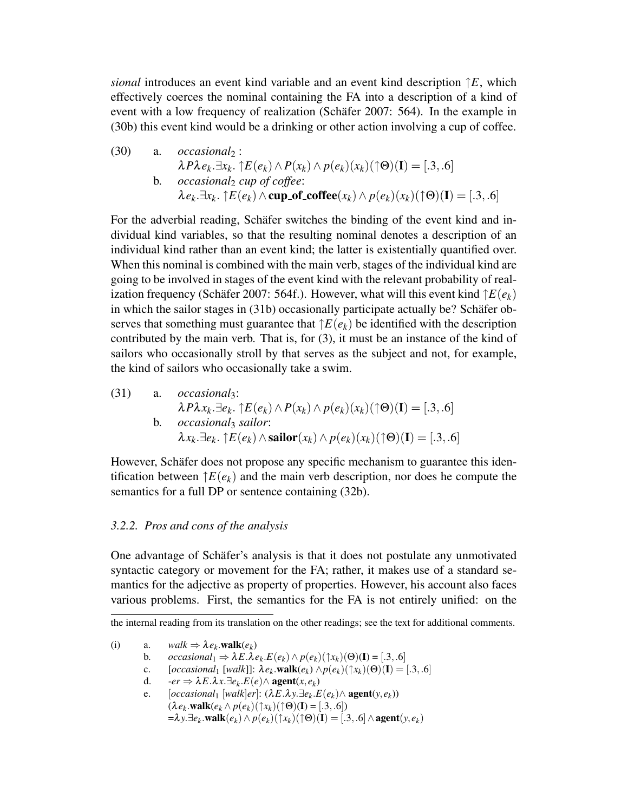*sional* introduces an event kind variable and an event kind description ↑*E*, which effectively coerces the nominal containing the FA into a description of a kind of event with a low frequency of realization (Schäfer 2007: 564). In the example in (30b) this event kind would be a drinking or other action involving a cup of coffee.

 $(30)$  a. *occasional*<sub>2</sub>:  $\lambda P \lambda e_k \exists x_k \cdot \uparrow E(e_k) \wedge P(x_k) \wedge p(e_k)(x_k)(\uparrow \Theta)(\mathbf{I}) = [.3, .6]$ b. *occasional*<sup>2</sup> *cup of coffee*:  $\lambda e_k \cdot \exists x_k \cdot \upharpoonright E(e_k) \wedge \text{cup of\_cofree}(x_k) \wedge p(e_k)(x_k)(\uparrow \Theta)(\mathbf{I}) = [.3, .6]$ 

For the adverbial reading, Schäfer switches the binding of the event kind and individual kind variables, so that the resulting nominal denotes a description of an individual kind rather than an event kind; the latter is existentially quantified over. When this nominal is combined with the main verb, stages of the individual kind are going to be involved in stages of the event kind with the relevant probability of realization frequency (Schäfer 2007: 564f.). However, what will this event kind  $\hat{\tau}E(e_k)$ in which the sailor stages in  $(31b)$  occasionally participate actually be? Schäfer observes that something must guarantee that  $\uparrow E(e_k)$  be identified with the description contributed by the main verb. That is, for (3), it must be an instance of the kind of sailors who occasionally stroll by that serves as the subject and not, for example, the kind of sailors who occasionally take a swim.

(31) a. *occasionally*:  
\n
$$
\lambda P \lambda x_k. \exists e_k. \uparrow E(e_k) \land P(x_k) \land p(e_k)(x_k)(\uparrow \Theta)(\mathbf{I}) = [.3, .6]
$$
\nb. *occasionally salior*:  
\n
$$
\lambda x_k. \exists e_k. \uparrow E(e_k) \land \textbf{sallor}(x_k) \land p(e_k)(x_k)(\uparrow \Theta)(\mathbf{I}) = [.3, .6]
$$

However, Schäfer does not propose any specific mechanism to guarantee this identification between  $\uparrow E(e_k)$  and the main verb description, nor does he compute the semantics for a full DP or sentence containing (32b).

## *3.2.2. Pros and cons of the analysis*

One advantage of Schäfer's analysis is that it does not postulate any unmotivated syntactic category or movement for the FA; rather, it makes use of a standard semantics for the adjective as property of properties. However, his account also faces various problems. First, the semantics for the FA is not entirely unified: on the

- (i) a.  $walk \Rightarrow \lambda e_k \text{.walk}(e_k)$ 
	- b.  $occasional_1 \Rightarrow \lambda E.\lambda e_k.E(e_k) \wedge p(e_k)(\uparrow x_k)(\Theta)(I) = [.3, .6]$
	- c.  $[occasional_1 [walk]]: \lambda e_k \text{.walk}(e_k) \wedge p(e_k)(\uparrow x_k)(\Theta)(\mathbf{I}) = [.3, .6]$
	- d.  $-er \Rightarrow \lambda E.\lambda x.\exists e_k.E(e) \wedge \textbf{agent}(x,e_k)$
	- e.  $[occasional_1 [walk]er] : (\lambda E.\lambda y. \exists e_k.E(e_k) \land agent(y, e_k))$  $(\lambda e_k \cdot \textbf{walk}(e_k \land p(e_k)(\uparrow x_k)(\uparrow \Theta)(\mathbf{I}) = [.3, .6])$  $= \lambda y. \exists e_k \mathbf{.walk}(e_k) \land p(e_k)(\uparrow x_k)(\uparrow \Theta)(\mathbf{I}) = [.3, .6] \land \mathbf{agent}(y, e_k)$

the internal reading from its translation on the other readings; see the text for additional comments.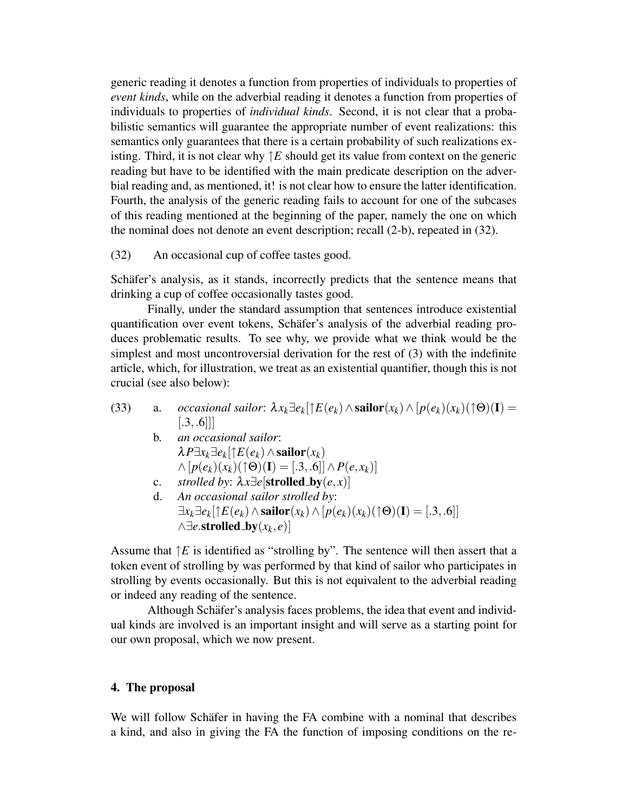generic reading it denotes a function from properties of individuals to properties of *event kinds*, while on the adverbial reading it denotes a function from properties of individuals to properties of *individual kinds*. Second, it is not clear that a probabilistic semantics will guarantee the appropriate number of event realizations: this semantics only guarantees that there is a certain probability of such realizations existing. Third, it is not clear why  $\uparrow E$  should get its value from context on the generic reading but have to be identified with the main predicate description on the adverbial reading and, as mentioned, it! is not clear how to ensure the latter identification. Fourth, the analysis of the generic reading fails to account for one of the subcases of this reading mentioned at the beginning of the paper, namely the one on which the nominal does not denote an event description; recall (2-b), repeated in (32).

(32) An occasional cup of coffee tastes good.

Schafer's analysis, as it stands, incorrectly predicts that the sentence means that drinking a cup of coffee occasionally tastes good.

Finally, under the standard assumption that sentences introduce existential quantification over event tokens, Schäfer's analysis of the adverbial reading produces problematic results. To see why, we provide what we think would be the simplest and most uncontroversial derivation for the rest of (3) with the indefinite article, which, for illustration, we treat as an existential quantifier, though this is not crucial (see also below):

- (33) a. *occasional sailor*:  $\lambda x_k \exists e_k [\uparrow E(e_k) \land \textbf{sallor}(x_k) \land [p(e_k)(x_k)(\uparrow \Theta)(\mathbf{I}) =$  $[.3, .6]$ ]
	- b. *an occasional sailor*:  $\lambda P \exists x_k \exists e_k [ \uparrow E(e_k) \land \textbf{sallor}(x_k)]$  $\wedge$  [ $p(e_k)(x_k)(\uparrow \Theta)(\mathbf{I}) = [.3, .6]$ ]  $\wedge P(e, x_k)$ ] c. *strolled by*:  $\lambda x \exists e$ [**strolled\_by** $(e, x)$ ]
		- d. *An occasional sailor strolled by*:  $\exists x_k \exists e_k [\uparrow E(e_k) \land \textbf{sallor}(x_k) \land [p(e_k)(x_k)(\uparrow \Theta)(\mathbf{I}) = [.3, .6]]$  $\land$ ∃*e*.strolled\_by $(x_k, e)$ ]

Assume that  $\uparrow E$  is identified as "strolling by". The sentence will then assert that a token event of strolling by was performed by that kind of sailor who participates in strolling by events occasionally. But this is not equivalent to the adverbial reading or indeed any reading of the sentence.

Although Schäfer's analysis faces problems, the idea that event and individual kinds are involved is an important insight and will serve as a starting point for our own proposal, which we now present.

## 4. The proposal

We will follow Schafer in having the FA combine with a nominal that describes a kind, and also in giving the FA the function of imposing conditions on the re-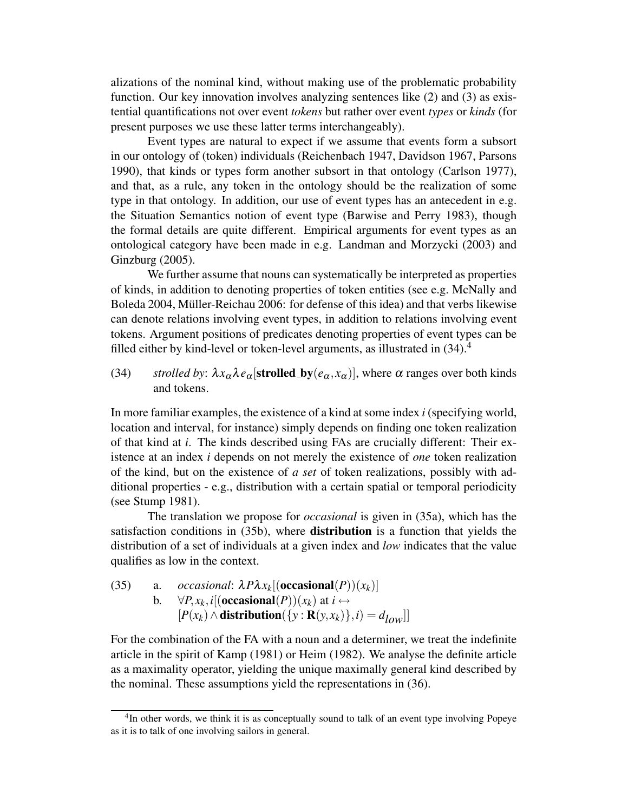alizations of the nominal kind, without making use of the problematic probability function. Our key innovation involves analyzing sentences like (2) and (3) as existential quantifications not over event *tokens* but rather over event *types* or *kinds* (for present purposes we use these latter terms interchangeably).

Event types are natural to expect if we assume that events form a subsort in our ontology of (token) individuals (Reichenbach 1947, Davidson 1967, Parsons 1990), that kinds or types form another subsort in that ontology (Carlson 1977), and that, as a rule, any token in the ontology should be the realization of some type in that ontology. In addition, our use of event types has an antecedent in e.g. the Situation Semantics notion of event type (Barwise and Perry 1983), though the formal details are quite different. Empirical arguments for event types as an ontological category have been made in e.g. Landman and Morzycki (2003) and Ginzburg (2005).

We further assume that nouns can systematically be interpreted as properties of kinds, in addition to denoting properties of token entities (see e.g. McNally and Boleda 2004, Müller-Reichau 2006: for defense of this idea) and that verbs likewise can denote relations involving event types, in addition to relations involving event tokens. Argument positions of predicates denoting properties of event types can be filled either by kind-level or token-level arguments, as illustrated in  $(34)$ <sup>4</sup>

(34) *strolled by*:  $\lambda x_{\alpha} \lambda e_{\alpha}$  [strolled by  $(e_{\alpha}, x_{\alpha})$ ], where  $\alpha$  ranges over both kinds and tokens.

In more familiar examples, the existence of a kind at some index *i* (specifying world, location and interval, for instance) simply depends on finding one token realization of that kind at *i*. The kinds described using FAs are crucially different: Their existence at an index *i* depends on not merely the existence of *one* token realization of the kind, but on the existence of *a set* of token realizations, possibly with additional properties - e.g., distribution with a certain spatial or temporal periodicity (see Stump 1981).

The translation we propose for *occasional* is given in (35a), which has the satisfaction conditions in (35b), where **distribution** is a function that yields the distribution of a set of individuals at a given index and *low* indicates that the value qualifies as low in the context.

(35) a. *occasional*: 
$$
\lambda P \lambda x_k [(\text{occasional}(P))(x_k)]
$$
  
b.  $\forall P, x_k, i [(\text{occasional}(P))(x_k) \text{ at } i \leftrightarrow [P(x_k) \land \text{distribution}(\{y : \mathbf{R}(y, x_k)\}, i) = d_{low}]]$ 

For the combination of the FA with a noun and a determiner, we treat the indefinite article in the spirit of Kamp (1981) or Heim (1982). We analyse the definite article as a maximality operator, yielding the unique maximally general kind described by the nominal. These assumptions yield the representations in (36).

<sup>&</sup>lt;sup>4</sup>In other words, we think it is as conceptually sound to talk of an event type involving Popeye as it is to talk of one involving sailors in general.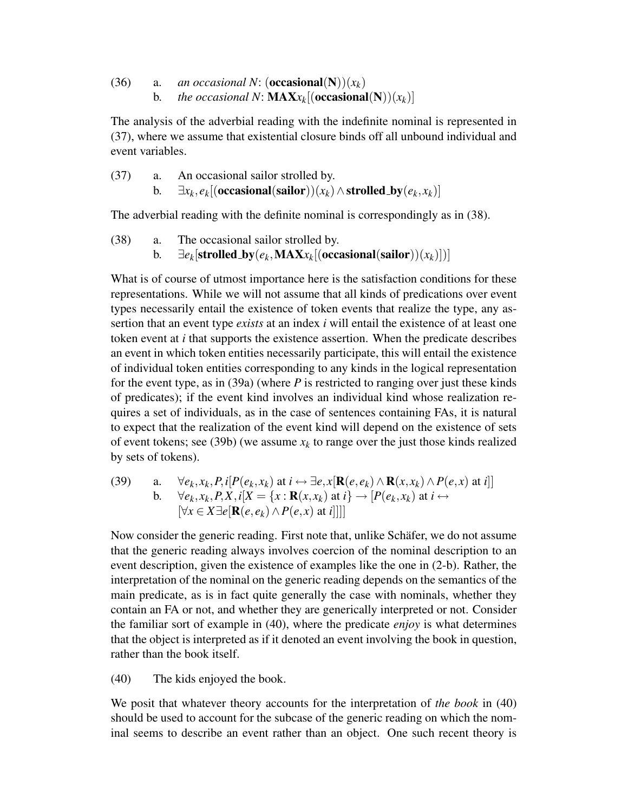(36) a. *an occasional N*: (**occasional**(N))( $x_k$ ) b. *the occasional N*:  $\textbf{MAX}_{X_k}[\textbf{(occasional(N)})(x_k)]$ 

The analysis of the adverbial reading with the indefinite nominal is represented in (37), where we assume that existential closure binds off all unbound individual and event variables.

(37) a. An occasional sailor strolled by. b.  $\exists x_k, e_k[(\textbf{occasional}(\textbf{sallor}))(x_k) \wedge \textbf{strolled\_by}(e_k, x_k)]$ 

The adverbial reading with the definite nominal is correspondingly as in (38).

(38) a. The occasional sailor strolled by. b.  $\exists e_k[\textbf{strolled\_by}(e_k, \textbf{MAX}x_k[(\textbf{occasional}(\textbf{sailor}))(x_k)])]$ 

What is of course of utmost importance here is the satisfaction conditions for these representations. While we will not assume that all kinds of predications over event types necessarily entail the existence of token events that realize the type, any assertion that an event type *exists* at an index *i* will entail the existence of at least one token event at *i* that supports the existence assertion. When the predicate describes an event in which token entities necessarily participate, this will entail the existence of individual token entities corresponding to any kinds in the logical representation for the event type, as in (39a) (where *P* is restricted to ranging over just these kinds of predicates); if the event kind involves an individual kind whose realization requires a set of individuals, as in the case of sentences containing FAs, it is natural to expect that the realization of the event kind will depend on the existence of sets of event tokens; see (39b) (we assume  $x_k$  to range over the just those kinds realized by sets of tokens).

(39) a. 
$$
\forall e_k, x_k, P, i[P(e_k, x_k) \text{ at } i \leftrightarrow \exists e, x[\mathbf{R}(e, e_k) \land \mathbf{R}(x, x_k) \land P(e, x) \text{ at } i]]
$$
  
\nb.  $\forall e_k, x_k, P, X, i[X = \{x : \mathbf{R}(x, x_k) \text{ at } i\} \rightarrow [P(e_k, x_k) \text{ at } i \leftrightarrow [\forall x \in X \exists e[\mathbf{R}(e, e_k) \land P(e, x) \text{ at } i]]]]$ 

Now consider the generic reading. First note that, unlike Schäfer, we do not assume that the generic reading always involves coercion of the nominal description to an event description, given the existence of examples like the one in (2-b). Rather, the interpretation of the nominal on the generic reading depends on the semantics of the main predicate, as is in fact quite generally the case with nominals, whether they contain an FA or not, and whether they are generically interpreted or not. Consider the familiar sort of example in (40), where the predicate *enjoy* is what determines that the object is interpreted as if it denoted an event involving the book in question, rather than the book itself.

(40) The kids enjoyed the book.

We posit that whatever theory accounts for the interpretation of *the book* in (40) should be used to account for the subcase of the generic reading on which the nominal seems to describe an event rather than an object. One such recent theory is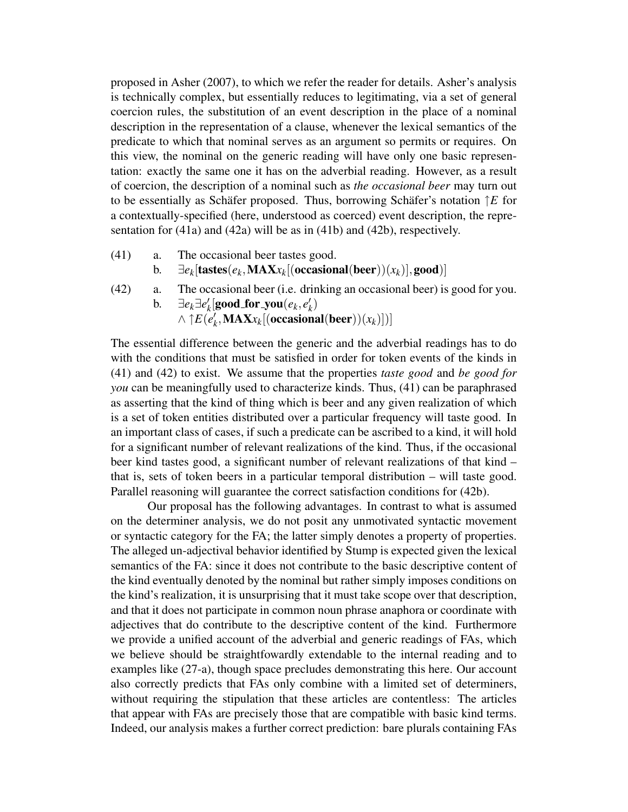proposed in Asher (2007), to which we refer the reader for details. Asher's analysis is technically complex, but essentially reduces to legitimating, via a set of general coercion rules, the substitution of an event description in the place of a nominal description in the representation of a clause, whenever the lexical semantics of the predicate to which that nominal serves as an argument so permits or requires. On this view, the nominal on the generic reading will have only one basic representation: exactly the same one it has on the adverbial reading. However, as a result of coercion, the description of a nominal such as *the occasional beer* may turn out to be essentially as Schäfer proposed. Thus, borrowing Schäfer's notation  $\uparrow E$  for a contextually-specified (here, understood as coerced) event description, the representation for (41a) and (42a) will be as in (41b) and (42b), respectively.

- (41) a. The occasional beer tastes good.
	- b.  $\exists e_k [\textbf{tastes}(e_k, \textbf{MAX}x_k[(\textbf{occasional}(\textbf{beer}))(x_k)], \textbf{good})]$
- (42) a. The occasional beer (i.e. drinking an occasional beer) is good for you. **b.** ∃ $e_k$ ∃ $e'_k$  $\mathbf{g}_{k}^{\prime}[\mathbf{good\_for\_you}(e_{k},e_{k}^{\prime})]$ *k* )  $\wedge$   $\uparrow$ *E* $\ddot{(e'_k)}$  $\mathcal{H}_k$ , **MAX** $x_k$ [(occasional(beer)) $(x_k)$ ])]

The essential difference between the generic and the adverbial readings has to do with the conditions that must be satisfied in order for token events of the kinds in (41) and (42) to exist. We assume that the properties *taste good* and *be good for you* can be meaningfully used to characterize kinds. Thus, (41) can be paraphrased as asserting that the kind of thing which is beer and any given realization of which is a set of token entities distributed over a particular frequency will taste good. In an important class of cases, if such a predicate can be ascribed to a kind, it will hold for a significant number of relevant realizations of the kind. Thus, if the occasional beer kind tastes good, a significant number of relevant realizations of that kind – that is, sets of token beers in a particular temporal distribution – will taste good. Parallel reasoning will guarantee the correct satisfaction conditions for (42b).

Our proposal has the following advantages. In contrast to what is assumed on the determiner analysis, we do not posit any unmotivated syntactic movement or syntactic category for the FA; the latter simply denotes a property of properties. The alleged un-adjectival behavior identified by Stump is expected given the lexical semantics of the FA: since it does not contribute to the basic descriptive content of the kind eventually denoted by the nominal but rather simply imposes conditions on the kind's realization, it is unsurprising that it must take scope over that description, and that it does not participate in common noun phrase anaphora or coordinate with adjectives that do contribute to the descriptive content of the kind. Furthermore we provide a unified account of the adverbial and generic readings of FAs, which we believe should be straightfowardly extendable to the internal reading and to examples like (27-a), though space precludes demonstrating this here. Our account also correctly predicts that FAs only combine with a limited set of determiners, without requiring the stipulation that these articles are contentless: The articles that appear with FAs are precisely those that are compatible with basic kind terms. Indeed, our analysis makes a further correct prediction: bare plurals containing FAs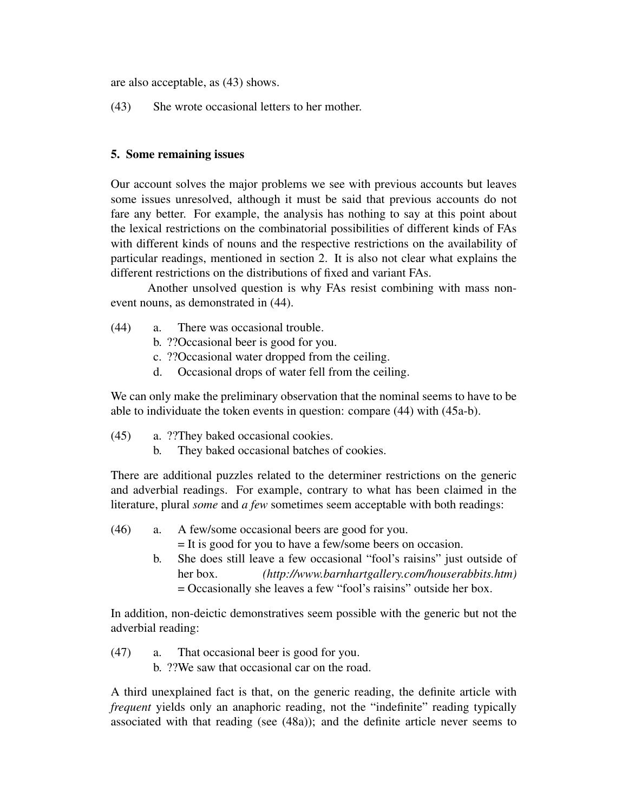are also acceptable, as (43) shows.

(43) She wrote occasional letters to her mother.

# 5. Some remaining issues

Our account solves the major problems we see with previous accounts but leaves some issues unresolved, although it must be said that previous accounts do not fare any better. For example, the analysis has nothing to say at this point about the lexical restrictions on the combinatorial possibilities of different kinds of FAs with different kinds of nouns and the respective restrictions on the availability of particular readings, mentioned in section 2. It is also not clear what explains the different restrictions on the distributions of fixed and variant FAs.

Another unsolved question is why FAs resist combining with mass nonevent nouns, as demonstrated in (44).

- (44) a. There was occasional trouble.
	- b. ??Occasional beer is good for you.
	- c. ??Occasional water dropped from the ceiling.
	- d. Occasional drops of water fell from the ceiling.

We can only make the preliminary observation that the nominal seems to have to be able to individuate the token events in question: compare (44) with (45a-b).

- (45) a. ??They baked occasional cookies.
	- b. They baked occasional batches of cookies.

There are additional puzzles related to the determiner restrictions on the generic and adverbial readings. For example, contrary to what has been claimed in the literature, plural *some* and *a few* sometimes seem acceptable with both readings:

- (46) a. A few/some occasional beers are good for you.
	- = It is good for you to have a few/some beers on occasion.
	- b. She does still leave a few occasional "fool's raisins" just outside of her box. *(http://www.barnhartgallery.com/houserabbits.htm)* = Occasionally she leaves a few "fool's raisins" outside her box.

In addition, non-deictic demonstratives seem possible with the generic but not the adverbial reading:

(47) a. That occasional beer is good for you. b. ??We saw that occasional car on the road.

A third unexplained fact is that, on the generic reading, the definite article with *frequent* yields only an anaphoric reading, not the "indefinite" reading typically associated with that reading (see (48a)); and the definite article never seems to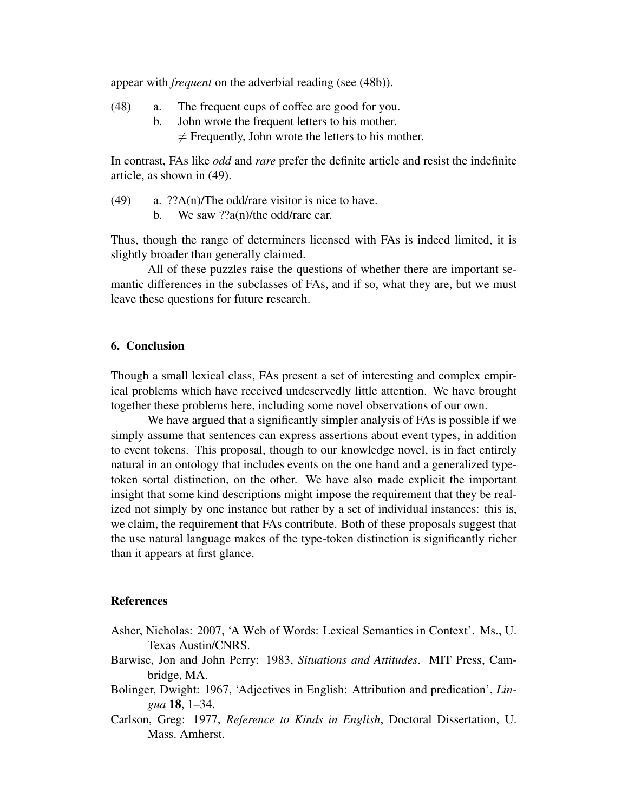appear with *frequent* on the adverbial reading (see (48b)).

- (48) a. The frequent cups of coffee are good for you.
	- b. John wrote the frequent letters to his mother.  $\neq$  Frequently, John wrote the letters to his mother.

In contrast, FAs like *odd* and *rare* prefer the definite article and resist the indefinite article, as shown in (49).

- (49) a.  $??A(n)/The odd/r$ are visitor is nice to have.
	- b. We saw ??a(n)/the odd/rare car.

Thus, though the range of determiners licensed with FAs is indeed limited, it is slightly broader than generally claimed.

All of these puzzles raise the questions of whether there are important semantic differences in the subclasses of FAs, and if so, what they are, but we must leave these questions for future research.

## 6. Conclusion

Though a small lexical class, FAs present a set of interesting and complex empirical problems which have received undeservedly little attention. We have brought together these problems here, including some novel observations of our own.

We have argued that a significantly simpler analysis of FAs is possible if we simply assume that sentences can express assertions about event types, in addition to event tokens. This proposal, though to our knowledge novel, is in fact entirely natural in an ontology that includes events on the one hand and a generalized typetoken sortal distinction, on the other. We have also made explicit the important insight that some kind descriptions might impose the requirement that they be realized not simply by one instance but rather by a set of individual instances: this is, we claim, the requirement that FAs contribute. Both of these proposals suggest that the use natural language makes of the type-token distinction is significantly richer than it appears at first glance.

### References

- Asher, Nicholas: 2007, 'A Web of Words: Lexical Semantics in Context'. Ms., U. Texas Austin/CNRS.
- Barwise, Jon and John Perry: 1983, *Situations and Attitudes*. MIT Press, Cambridge, MA.
- Bolinger, Dwight: 1967, 'Adjectives in English: Attribution and predication', *Lingua* 18, 1–34.
- Carlson, Greg: 1977, *Reference to Kinds in English*, Doctoral Dissertation, U. Mass. Amherst.